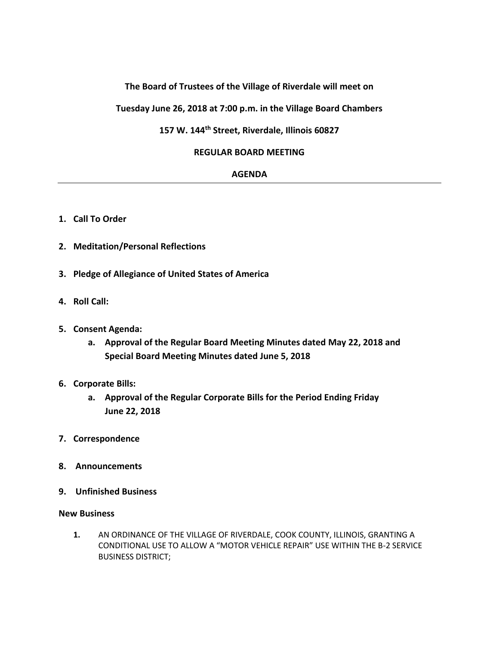## **The Board of Trustees of the Village of Riverdale will meet on**

**Tuesday June 26, 2018 at 7:00 p.m. in the Village Board Chambers**

# **157 W. 144th Street, Riverdale, Illinois 60827**

#### **REGULAR BOARD MEETING**

### **AGENDA**

- **1. Call To Order**
- **2. Meditation/Personal Reflections**
- **3. Pledge of Allegiance of United States of America**
- **4. Roll Call:**
- **5. Consent Agenda:**
	- **a. Approval of the Regular Board Meeting Minutes dated May 22, 2018 and Special Board Meeting Minutes dated June 5, 2018**
- **6. Corporate Bills:**
	- **a. Approval of the Regular Corporate Bills for the Period Ending Friday June 22, 2018**
- **7. Correspondence**
- **8. Announcements**
- **9. Unfinished Business**

#### **New Business**

**1.** AN ORDINANCE OF THE VILLAGE OF RIVERDALE, COOK COUNTY, ILLINOIS, GRANTING A CONDITIONAL USE TO ALLOW A "MOTOR VEHICLE REPAIR" USE WITHIN THE B-2 SERVICE BUSINESS DISTRICT;